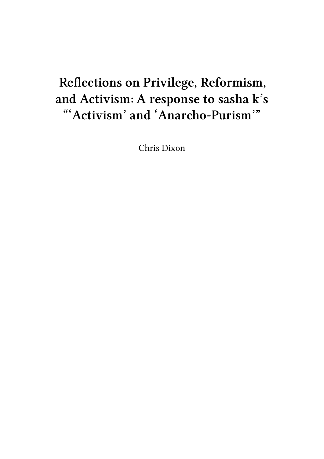# **Reflections on Privilege, Reformism, and Activism: A response to sasha k's "'Activism' and 'Anarcho-Purism'"**

Chris Dixon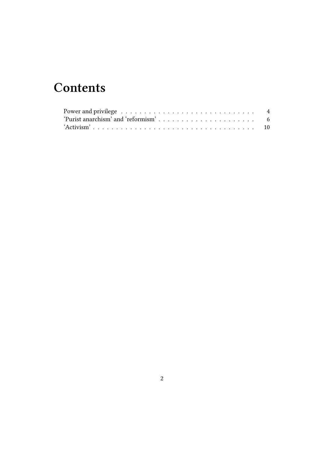## **Contents**

| Power and privilege $\dots \dots \dots \dots \dots \dots \dots \dots \dots \dots \dots$ |  |
|-----------------------------------------------------------------------------------------|--|
|                                                                                         |  |
|                                                                                         |  |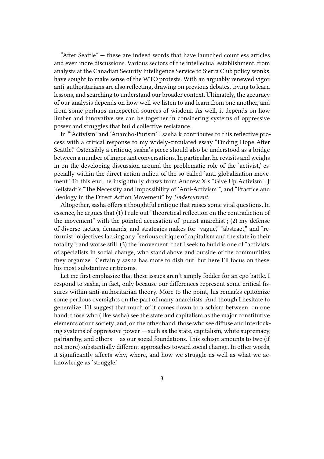"After Seattle" — these are indeed words that have launched countless articles and even more discussions. Various sectors of the intellectual establishment, from analysts at the Canadian Security Intelligence Service to Sierra Club policy wonks, have sought to make sense of the WTO protests. With an arguably renewed vigor, anti-authoritarians are also reflecting, drawing on previous debates, trying to learn lessons, and searching to understand our broader context. Ultimately, the accuracy of our analysis depends on how well we listen to and learn from one another, and from some perhaps unexpected sources of wisdom. As well, it depends on how limber and innovative we can be together in considering systems of oppressive power and struggles that build collective resistance.

In "'Activism' and 'Anarcho-Purism'", sasha k contributes to this reflective process with a critical response to my widely-circulated essay "Finding Hope After Seattle." Ostensibly a critique, sasha's piece should also be understood as a bridge between a number of important conversations. In particular, he revisits and weighs in on the developing discussion around the problematic role of the 'activist,' especially within the direct action milieu of the so-called 'anti-globalization movement.' To this end, he insightfully draws from Andrew X's "Give Up Activism", J. Kellstadt's "The Necessity and Impossibility of 'Anti-Activism'", and "Practice and Ideology in the Direct Action Movement" by *Undercurrent*.

Altogether, sasha offers a thoughtful critique that raises some vital questions. In essence, he argues that (1) I rule out "theoretical reflection on the contradiction of the movement" with the pointed accusation of 'purist anarchist'; (2) my defense of diverse tactics, demands, and strategies makes for "vague," "abstract," and "reformist" objectives lacking any "serious critique of capitalism and the state in their totality"; and worse still, (3) the 'movement' that I seek to build is one of "activists, of specialists in social change, who stand above and outside of the communities they organize." Certainly sasha has more to dish out, but here I'll focus on these, his most substantive criticisms.

Let me first emphasize that these issues aren't simply fodder for an ego battle. I respond to sasha, in fact, only because our differences represent some critical fissures within anti-authoritarian theory. More to the point, his remarks epitomize some perilous oversights on the part of many anarchists. And though I hesitate to generalize, I'll suggest that much of it comes down to a schism between, on one hand, those who (like sasha) see the state and capitalism as the major constitutive elements of our society; and, on the other hand, those who see diffuse and interlocking systems of oppressive power — such as the state, capitalism, white supremacy, patriarchy, and others — as our social foundations. This schism amounts to two (if not more) substantially different approaches toward social change. In other words, it significantly affects why, where, and how we struggle as well as what we acknowledge as 'struggle.'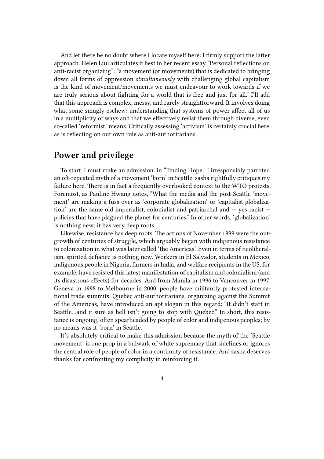And let there be no doubt where I locate myself here: I firmly support the latter approach. Helen Luu articulates it best in her recent essay "Personal reflections on anti-racist organizing": "a movement (or movements) that is dedicated to bringing down all forms of oppression *simultaneously* with challenging global capitalism is the kind of movement/movements we must endeavour to work towards if we are truly serious about fighting for a world that is free and just for all." I'll add that this approach is complex, messy, and rarely straightforward. It involves doing what some smugly eschew: understanding that systems of power affect all of us in a multiplicity of ways and that we effectively resist them through diverse, even so-called 'reformist,' means. Critically assessing 'activism' is certainly crucial here, as is reflecting on our own role as anti-authoritarians.

### **Power and privilege**

To start, I must make an admission: in "Finding Hope," I irresponsibly parroted an oft-repeated myth of a movement 'born' in Seattle. sasha rightfully critiques my failure here. There is in fact a frequently overlooked context to the WTO protests. Foremost, as Pauline Hwang notes, "What the media and the post-Seattle 'movement' are making a fuss over as 'corporate globalization' or 'capitalist globalization' are the same old imperialist, colonialist and patriarchal and — yes racist policies that have plagued the planet for centuries." In other words, 'globalization' is nothing new; it has very deep roots.

Likewise, resistance has deep roots. The actions of November 1999 were the outgrowth of centuries of struggle, which arguably began with indigenous resistance to colonization in what was later called 'the Americas.' Even in terms of neoliberalism, spirited defiance is nothing new. Workers in El Salvador, students in Mexico, indigenous people in Nigeria, farmers in India, and welfare recipients in the US, for example, have resisted this latest manifestation of capitalism and colonialism (and its disastrous effects) for decades. And from Manila in 1996 to Vancouver in 1997, Geneva in 1998 to Melbourne in 2000, people have militantly protested international trade summits. Quebec anti-authoritarians, organizing against the Summit of the Americas, have introduced an apt slogan in this regard: "It didn't start in Seattle…and it sure as hell isn't going to stop with Quebec." In short, this resistance is ongoing, often spearheaded by people of color and indigenous peoples; by no means was it 'born' in Seattle.

It's absolutely critical to make this admission because the myth of the 'Seattle movement' is one prop in a bulwark of white supremacy that sidelines or ignores the central role of people of color in a continuity of resistance. And sasha deserves thanks for confronting my complicity in reinforcing it.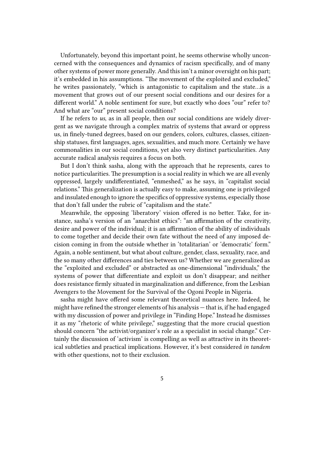Unfortunately, beyond this important point, he seems otherwise wholly unconcerned with the consequences and dynamics of racism specifically, and of many other systems of power more generally. And this isn't a minor oversight on his part; it's embedded in his assumptions. "The movement of the exploited and excluded," he writes passionately, "which is antagonistic to capitalism and the state…is a movement that grows out of our present social conditions and our desires for a different world." A noble sentiment for sure, but exactly who does "our" refer to? And what are "our" present social conditions?

If he refers to *us*, as in all people, then our social conditions are widely divergent as we navigate through a complex matrix of systems that award or oppress us, in finely-tuned degrees, based on our genders, colors, cultures, classes, citizenship statuses, first languages, ages, sexualities, and much more. Certainly we have commonalities in our social conditions, yet also very distinct particularities. Any accurate radical analysis requires a focus on both.

But I don't think sasha, along with the approach that he represents, cares to notice particularities. The presumption is a social reality in which we are all evenly oppressed, largely undifferentiated, "enmeshed," as he says, in "capitalist social relations." This generalization is actually easy to make, assuming one is privileged and insulated enough to ignore the specifics of oppressive systems, especially those that don't fall under the rubric of "capitalism and the state."

Meanwhile, the opposing 'liberatory' vision offered is no better. Take, for instance, sasha's version of an "anarchist ethics": "an affirmation of the creativity, desire and power of the individual; it is an affirmation of the ability of individuals to come together and decide their own fate without the need of any imposed decision coming in from the outside whether in 'totalitarian' or 'democratic' form." Again, a noble sentiment, but what about culture, gender, class, sexuality, race, and the so many other differences and ties between us? Whether we are generalized as the "exploited and excluded" or abstracted as one-dimensional "individuals," the systems of power that differentiate and exploit us don't disappear; and neither does resistance firmly situated in marginalization and difference, from the Lesbian Avengers to the Movement for the Survival of the Ogoni People in Nigeria.

sasha might have offered some relevant theoretical nuances here. Indeed, he might have refined the stronger elements of his analysis — that is, if he had engaged with my discussion of power and privilege in "Finding Hope." Instead he dismisses it as my "rhetoric of white privilege," suggesting that the more crucial question should concern "the activist/organizer's role as a specialist in social change." Certainly the discussion of 'activism' is compelling as well as attractive in its theoretical subtleties and practical implications. However, it's best considered *in tandem* with other questions, not to their exclusion.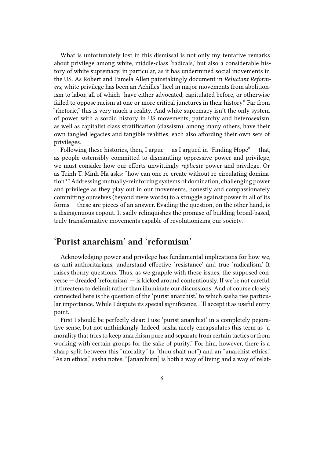What is unfortunately lost in this dismissal is not only my tentative remarks about privilege among white, middle-class 'radicals,' but also a considerable history of white supremacy, in particular, as it has undermined social movements in the US. As Robert and Pamela Allen painstakingly document in *Reluctant Reformers*, white privilege has been an Achilles' heel in major movements from abolitionism to labor, all of which "have either advocated, capitulated before, or otherwise failed to oppose racism at one or more critical junctures in their history." Far from "rhetoric," this is very much a reality. And white supremacy isn't the only system of power with a sordid history in US movements; patriarchy and heterosexism, as well as capitalist class stratification (classism), among many others, have their own tangled legacies and tangible realities, each also affording their own sets of privileges.

Following these histories, then, I argue  $-$  as I argued in "Finding Hope"  $-$  that, as people ostensibly committed to dismantling oppressive power and privilege, we must consider how our efforts unwittingly *replicate* power and privilege. Or as Trinh T. Minh-Ha asks: "how can one re-create without re-circulating domination?" Addressing mutually-reinforcing systems of domination, challenging power and privilege as they play out in our movements, honestly and compassionately committing ourselves (beyond mere words) to a struggle against power in all of its forms — these are pieces of an answer. Evading the question, on the other hand, is a disingenuous copout. It sadly relinquishes the promise of building broad-based, truly transformative movements capable of revolutionizing our society.

### **'Purist anarchism' and 'reformism'**

Acknowledging power and privilege has fundamental implications for how we, as anti-authoritarians, understand effective 'resistance' and true 'radicalism.' It raises thorny questions. Thus, as we grapple with these issues, the supposed converse — dreaded 'reformism' — is kicked around contentiously. If we're not careful, it threatens to delimit rather than illuminate our discussions. And of course closely connected here is the question of the 'purist anarchist,' to which sasha ties particular importance. While I dispute its special significance, I'll accept it as useful entry point.

First I should be perfectly clear: I use 'purist anarchist' in a completely pejorative sense, but not unthinkingly. Indeed, sasha nicely encapsulates this term as "a morality that tries to keep anarchism pure and separate from certain tactics or from working with certain groups for the sake of purity." For him, however, there is a sharp split between this "morality" (a "thou shalt not") and an "anarchist ethics." "As an ethics," sasha notes, "[anarchism] is both a way of living and a way of relat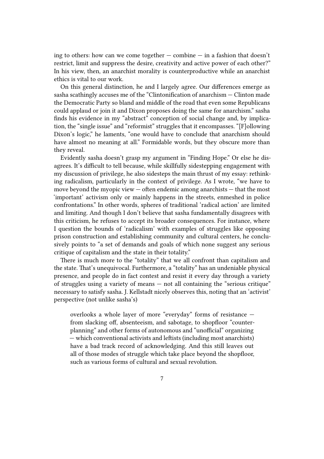ing to others: how can we come together  $-$  combine  $-$  in a fashion that doesn't restrict, limit and suppress the desire, creativity and active power of each other?" In his view, then, an anarchist morality is counterproductive while an anarchist ethics is vital to our work.

On this general distinction, he and I largely agree. Our differences emerge as sasha scathingly accuses me of the "Clintonification of anarchism — Clinton made the Democratic Party so bland and middle of the road that even some Republicans could applaud or join it and Dixon proposes doing the same for anarchism." sasha finds his evidence in my "abstract" conception of social change and, by implication, the "single issue" and "reformist" struggles that it encompasses. "[F]ollowing Dixon's logic," he laments, "one would have to conclude that anarchism should have almost no meaning at all." Formidable words, but they obscure more than they reveal.

Evidently sasha doesn't grasp my argument in "Finding Hope." Or else he disagrees. It's difficult to tell because, while skillfully sidestepping engagement with my discussion of privilege, he also sidesteps the main thrust of my essay: rethinking radicalism, particularly in the context of privilege. As I wrote, "we have to move beyond the myopic view — often endemic among anarchists — that the most 'important' activism only or mainly happens in the streets, enmeshed in police confrontations." In other words, spheres of traditional 'radical action' are limited and limiting. And though I don't believe that sasha fundamentally disagrees with this criticism, he refuses to accept its broader consequences. For instance, where I question the bounds of 'radicalism' with examples of struggles like opposing prison construction and establishing community and cultural centers, he conclusively points to "a set of demands and goals of which none suggest any serious critique of capitalism and the state in their totality."

There is much more to the "totality" that we all confront than capitalism and the state. That's unequivocal. Furthermore, a "totality" has an undeniable physical presence, and people do in fact contest and resist it every day through a variety of struggles using a variety of means — not all containing the "serious critique" necessary to satisfy sasha. J. Kellstadt nicely observes this, noting that an 'activist' perspective (not unlike sasha's)

overlooks a whole layer of more "everyday" forms of resistance from slacking off, absenteeism, and sabotage, to shopfloor "counterplanning" and other forms of autonomous and "unofficial" organizing — which conventional activists and leftists (including most anarchists) have a bad track record of acknowledging. And this still leaves out all of those modes of struggle which take place beyond the shopfloor, such as various forms of cultural and sexual revolution.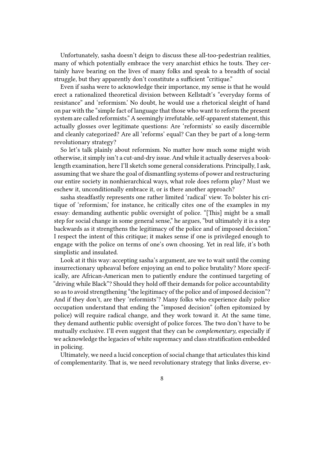Unfortunately, sasha doesn't deign to discuss these all-too-pedestrian realities, many of which potentially embrace the very anarchist ethics he touts. They certainly have bearing on the lives of many folks and speak to a breadth of social struggle, but they apparently don't constitute a sufficient "critique."

Even if sasha were to acknowledge their importance, my sense is that he would erect a rationalized theoretical division between Kellstadt's "everyday forms of resistance" and 'reformism.' No doubt, he would use a rhetorical sleight of hand on par with the "simple fact of language that those who want to reform the present system are called reformists." A seemingly irrefutable, self-apparent statement, this actually glosses over legitimate questions: Are 'reformists' so easily discernible and cleanly categorized? Are all 'reforms' equal? Can they be part of a long-term revolutionary strategy?

So let's talk plainly about reformism. No matter how much some might wish otherwise, it simply isn't a cut-and-dry issue. And while it actually deserves a booklength examination, here I'll sketch some general considerations. Principally, I ask, assuming that we share the goal of dismantling systems of power and restructuring our entire society in nonhierarchical ways, what role does reform play? Must we eschew it, unconditionally embrace it, or is there another approach?

sasha steadfastly represents one rather limited 'radical' view. To bolster his critique of 'reformism,' for instance, he critically cites one of the examples in my essay: demanding authentic public oversight of police. "[This] might be a small step for social change in some general sense," he argues, "but ultimately it is a step backwards as it strengthens the legitimacy of the police and of imposed decision." I respect the intent of this critique; it makes sense if one is privileged enough to engage with the police on terms of one's own choosing. Yet in real life, it's both simplistic and insulated.

Look at it this way: accepting sasha's argument, are we to wait until the coming insurrectionary upheaval before enjoying an end to police brutality? More specifically, are African-American men to patiently endure the continued targeting of "driving while Black"? Should they hold off their demands for police accountability so as to avoid strengthening "the legitimacy of the police and of imposed decision"? And if they don't, are they 'reformists'? Many folks who experience daily police occupation understand that ending the "imposed decision" (often epitomized by police) will require radical change, and they work toward it. At the same time, they demand authentic public oversight of police forces. The two don't have to be mutually exclusive. I'll even suggest that they can be *complementary*, especially if we acknowledge the legacies of white supremacy and class stratification embedded in policing.

Ultimately, we need a lucid conception of social change that articulates this kind of complementarity. That is, we need revolutionary strategy that links diverse, ev-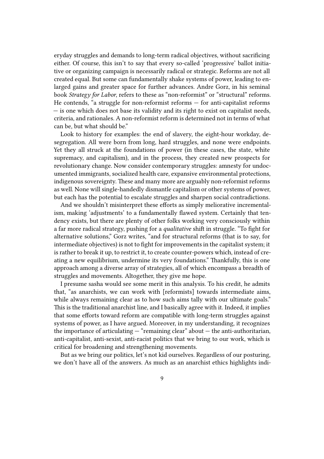eryday struggles and demands to long-term radical objectives, without sacrificing either. Of course, this isn't to say that every so-called 'progressive' ballot initiative or organizing campaign is necessarily radical or strategic. Reforms are not all created equal. But some can fundamentally shake systems of power, leading to enlarged gains and greater space for further advances. Andre Gorz, in his seminal book *Strategy for Labor*, refers to these as "non-reformist" or "structural" reforms. He contends, "a struggle for non-reformist reforms — for anti-capitalist reforms — is one which does not base its validity and its right to exist on capitalist needs, criteria, and rationales. A non-reformist reform is determined not in terms of what can be, but what should be."

Look to history for examples: the end of slavery, the eight-hour workday, desegregation. All were born from long, hard struggles, and none were endpoints. Yet they all struck at the foundations of power (in these cases, the state, white supremacy, and capitalism), and in the process, they created new prospects for revolutionary change. Now consider contemporary struggles: amnesty for undocumented immigrants, socialized health care, expansive environmental protections, indigenous sovereignty. These and many more are arguably non-reformist reforms as well. None will single-handedly dismantle capitalism or other systems of power, but each has the potential to escalate struggles and sharpen social contradictions.

And we shouldn't misinterpret these efforts as simply meliorative incrementalism, making 'adjustments' to a fundamentally flawed system. Certainly that tendency exists, but there are plenty of other folks working very consciously within a far more radical strategy, pushing for a *qualitative* shift in struggle. "To fight for alternative solutions," Gorz writes, "and for structural reforms (that is to say, for intermediate objectives) is not to fight for improvements in the capitalist system; it is rather to break it up, to restrict it, to create counter-powers which, instead of creating a new equilibrium, undermine its very foundations." Thankfully, this is one approach among a diverse array of strategies, all of which encompass a breadth of struggles and movements. Altogether, they give me hope.

I presume sasha would see some merit in this analysis. To his credit, he admits that, "as anarchists, we can work with [reformists] towards intermediate aims, while always remaining clear as to how such aims tally with our ultimate goals." This is the traditional anarchist line, and I basically agree with it. Indeed, it implies that some efforts toward reform are compatible with long-term struggles against systems of power, as I have argued. Moreover, in my understanding, it recognizes the importance of articulating  $-$  "remaining clear" about  $-$  the anti-authoritarian, anti-capitalist, anti-sexist, anti-racist politics that we bring to our work, which is critical for broadening and strengthening movements.

But as we bring our politics, let's not kid ourselves. Regardless of our posturing, we don't have all of the answers. As much as an anarchist ethics highlights indi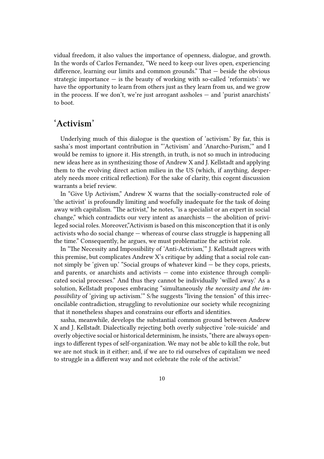vidual freedom, it also values the importance of openness, dialogue, and growth. In the words of Carlos Fernandez, "We need to keep our lives open, experiencing difference, learning our limits and common grounds." That — beside the obvious strategic importance  $-$  is the beauty of working with so-called 'reformists': we have the opportunity to learn from others just as they learn from us, and we grow in the process. If we don't, we're just arrogant assholes — and 'purist anarchists' to boot.

### **'Activism'**

Underlying much of this dialogue is the question of 'activism.' By far, this is sasha's most important contribution in "'Activism' and 'Anarcho-Purism,'" and I would be remiss to ignore it. His strength, in truth, is not so much in introducing new ideas here as in synthesizing those of Andrew X and J. Kellstadt and applying them to the evolving direct action milieu in the US (which, if anything, desperately needs more critical reflection). For the sake of clarity, this cogent discussion warrants a brief review.

In "Give Up Activism," Andrew X warns that the socially-constructed role of 'the activist' is profoundly limiting and woefully inadequate for the task of doing away with capitalism. "The activist," he notes, "is a specialist or an expert in social change," which contradicts our very intent as anarchists  $-$  the abolition of privileged social roles. Moreover,"Activism is based on this misconception that it is only activists who do social change — whereas of course class struggle is happening all the time." Consequently, he argues, we must problematize the activist role.

In "The Necessity and Impossibility of 'Anti-Activism,'" J. Kellstadt agrees with this premise, but complicates Andrew X's critique by adding that a social role cannot simply be 'given up.' "Social groups of whatever kind — be they cops, priests, and parents, or anarchists and activists — come into existence through complicated social processes." And thus they cannot be individually 'willed away.' As a solution, Kellstadt proposes embracing "simultaneously *the necessity and the impossibility* of 'giving up activism.'" S/he suggests "living the tension" of this irreconcilable contradiction, struggling to revolutionize our society while recognizing that it nonetheless shapes and constrains our efforts and identities.

sasha, meanwhile, develops the substantial common ground between Andrew X and J. Kellstadt. Dialectically rejecting both overly subjective 'role-suicide' and overly objective social or historical determinism, he insists, "there are always openings to different types of self-organization. We may not be able to kill the role, but we are not stuck in it either; and, if we are to rid ourselves of capitalism we need to struggle in a different way and not celebrate the role of the activist."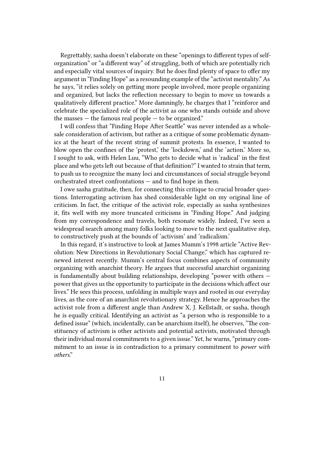Regrettably, sasha doesn't elaborate on these "openings to different types of selforganization" or "a different way" of struggling, both of which are potentially rich and especially vital sources of inquiry. But he does find plenty of space to offer my argument in "Finding Hope" as a resounding example of the "activist mentality." As he says, "it relies solely on getting more people involved, more people organizing and organized, but lacks the reflection necessary to begin to move us towards a qualitatively different practice." More damningly, he charges that I "reinforce and celebrate the specialized role of the activist as one who stands outside and above the masses  $-$  the famous real people  $-$  to be organized."

I will confess that "Finding Hope After Seattle" was never intended as a wholesale consideration of activism, but rather as a critique of some problematic dynamics at the heart of the recent string of summit protests. In essence, I wanted to blow open the confines of the 'protest,' the 'lockdown,' and the 'action.' More so, I sought to ask, with Helen Luu, "Who gets to decide what is 'radical' in the first place and who gets left out because of that definition?" I wanted to strain that term, to push us to recognize the many loci and circumstances of social struggle beyond orchestrated street confrontations — and to find hope in them.

I owe sasha gratitude, then, for connecting this critique to crucial broader questions. Interrogating activism has shed considerable light on my original line of criticism. In fact, the critique of the activist role, especially as sasha synthesizes it, fits well with my more truncated criticisms in "Finding Hope." And judging from my correspondence and travels, both resonate widely. Indeed, I've seen a widespread search among many folks looking to move to the next qualitative step, to constructively push at the bounds of 'activism' and 'radicalism.'

In this regard, it's instructive to look at James Mumm's 1998 article "Active Revolution: New Directions in Revolutionary Social Change," which has captured renewed interest recently. Mumm's central focus combines aspects of community organizing with anarchist theory. He argues that successful anarchist organizing is fundamentally about building relationships, developing "power with others power that gives us the opportunity to participate in the decisions which affect our lives." He sees this process, unfolding in multiple ways and rooted in our everyday lives, as the core of an anarchist revolutionary strategy. Hence he approaches the activist role from a different angle than Andrew X, J. Kellstadt, or sasha, though he is equally critical. Identifying an activist as "a person who is responsible to a defined issue" (which, incidentally, can be anarchism itself), he observes, "The constituency of activism is other activists and potential activists, motivated through their individual moral commitments to a given issue." Yet, he warns, "primary commitment to an issue is in contradiction to a primary commitment to *power with others*."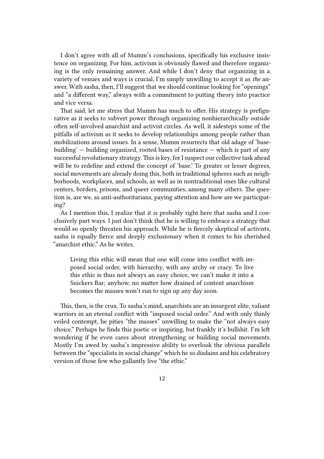I don't agree with all of Mumm's conclusions, specifically his exclusive insistence on organizing. For him, activism is obviously flawed and therefore organizing is the only remaining answer. And while I don't deny that organizing in a variety of venues and ways is crucial, I'm simply unwilling to accept it as *the* answer. With sasha, then, I'll suggest that we should continue looking for "openings" and "a different way," always with a commitment to putting theory into practice and vice versa.

That said, let me stress that Mumm has much to offer. His strategy is prefigurative as it seeks to subvert power through organizing nonhierarchically outside often self-involved anarchist and activist circles. As well, it sidesteps some of the pitfalls of activism as it seeks to develop relationships among people rather than mobilizations around issues. In a sense, Mumm resurrects that old adage of 'basebuilding'  $-$  building organized, rooted bases of resistance  $-$  which is part of any successful revolutionary strategy. This is key, for I suspect our collective task ahead will be to redefine and extend the concept of 'base.' To greater or lesser degrees, social movements are already doing this, both in traditional spheres such as neighborhoods, workplaces, and schools, as well as in nontraditional ones like cultural centers, borders, prisons, and queer communities, among many others. The question is, are we, as anti-authoritarians, paying attention and how are we participating?

As I mention this, I realize that it is probably right here that sasha and I conclusively part ways. I just don't think that he is willing to embrace a strategy that would so openly threaten his approach. While he is fiercely skeptical of activists, sasha is equally fierce and deeply exclusionary when it comes to his cherished "anarchist ethic." As he writes,

Living this ethic will mean that one will come into conflict with imposed social order, with hierarchy, with any archy or cracy. To live this ethic is thus not always an easy choice, we can't make it into a Snickers Bar; anyhow, no matter how drained of content anarchism becomes the masses won't run to sign up any day soon.

This, then, is the crux. To sasha's mind, anarchists are an insurgent elite, valiant warriors in an eternal conflict with "imposed social order." And with only thinly veiled contempt, he pities "the masses" unwilling to make the "not always easy choice." Perhaps he finds this poetic or inspiring, but frankly it's bullshit. I'm left wondering if he even cares about strengthening or building social movements. Mostly I'm awed by sasha's impressive ability to overlook the obvious parallels between the "specialists in social change" which he so disdains and his celebratory version of those few who gallantly live "the ethic."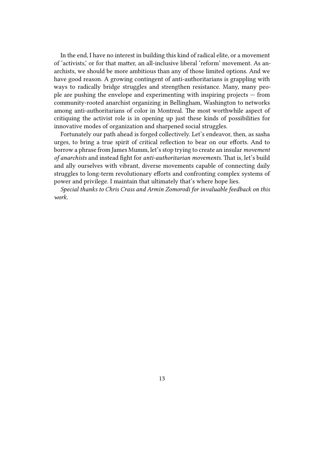In the end, I have no interest in building this kind of radical elite, or a movement of 'activists,' or for that matter, an all-inclusive liberal 'reform' movement. As anarchists, we should be more ambitious than any of those limited options. And we have good reason. A growing contingent of anti-authoritarians is grappling with ways to radically bridge struggles and strengthen resistance. Many, many people are pushing the envelope and experimenting with inspiring projects — from community-rooted anarchist organizing in Bellingham, Washington to networks among anti-authoritarians of color in Montreal. The most worthwhile aspect of critiquing the activist role is in opening up just these kinds of possibilities for innovative modes of organization and sharpened social struggles.

Fortunately our path ahead is forged collectively. Let's endeavor, then, as sasha urges, to bring a true spirit of critical reflection to bear on our efforts. And to borrow a phrase from James Mumm, let's stop trying to create an insular *movement of anarchists* and instead fight for *anti-authoritarian movements*. That is, let's build and ally ourselves with vibrant, diverse movements capable of connecting daily struggles to long-term revolutionary efforts and confronting complex systems of power and privilege. I maintain that ultimately that's where hope lies.

*Special thanks to Chris Crass and Armin Zomorodi for invaluable feedback on this work.*